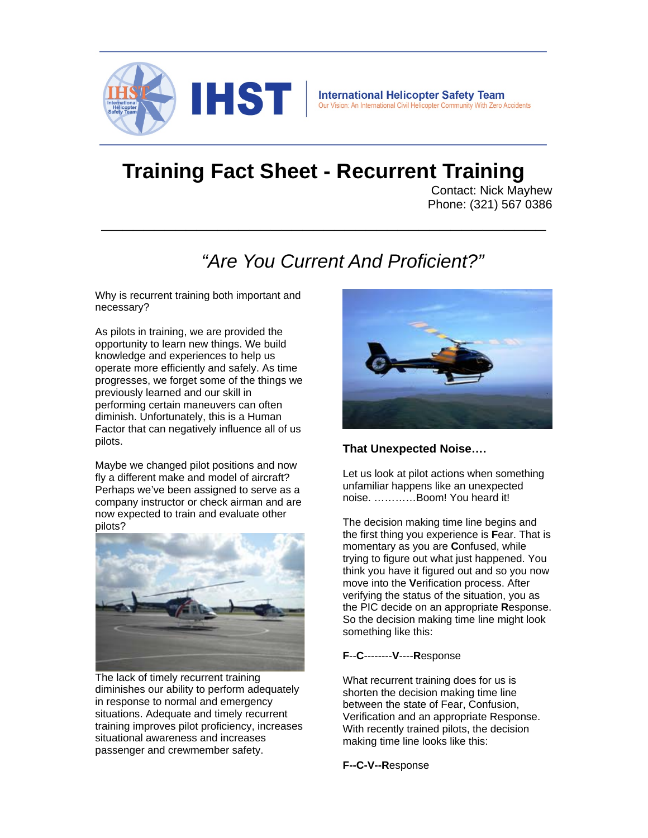

# **Training Fact Sheet - Recurrent Training**

**\_\_\_\_\_\_\_\_\_\_\_\_\_\_\_\_\_\_\_\_\_\_\_\_\_\_\_\_\_\_\_\_\_\_\_\_\_\_\_\_\_\_** 

Contact: Nick Mayhew Phone: (321) 567 0386

# *"Are You Current And Proficient?"*

Why is recurrent training both important and necessary?

As pilots in training, we are provided the opportunity to learn new things. We build knowledge and experiences to help us operate more efficiently and safely. As time progresses, we forget some of the things we previously learned and our skill in performing certain maneuvers can often diminish. Unfortunately, this is a Human Factor that can negatively influence all of us pilots.

Maybe we changed pilot positions and now fly a different make and model of aircraft? Perhaps we've been assigned to serve as a company instructor or check airman and are now expected to train and evaluate other pilots?



The lack of timely recurrent training diminishes our ability to perform adequately in response to normal and emergency situations. Adequate and timely recurrent training improves pilot proficiency, increases situational awareness and increases passenger and crewmember safety.



#### **That Unexpected Noise….**

Let us look at pilot actions when something unfamiliar happens like an unexpected noise. …………Boom! You heard it!

The decision making time line begins and the first thing you experience is **F**ear. That is momentary as you are **C**onfused, while trying to figure out what just happened. You think you have it figured out and so you now move into the **V**erification process. After verifying the status of the situation, you as the PIC decide on an appropriate **R**esponse. So the decision making time line might look something like this:

#### **F**--**C**--------**V**----**R**esponse

What recurrent training does for us is shorten the decision making time line between the state of Fear, Confusion, Verification and an appropriate Response. With recently trained pilots, the decision making time line looks like this:

**F--C-V--R**esponse